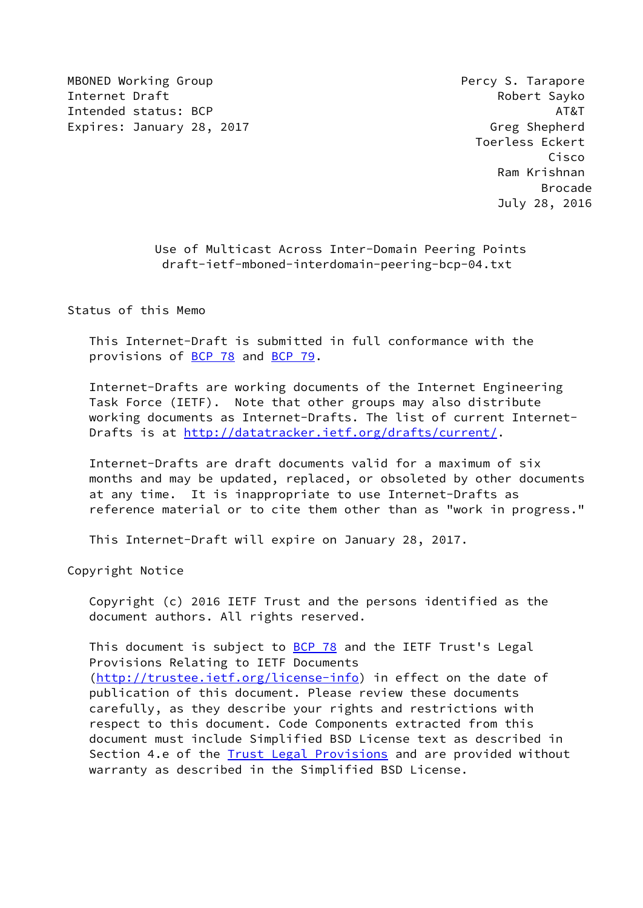MBONED Working Group **Percy S. Tarapore Percy S. Tarapore** Internet Draft **Robert Sayko** Intended status: BCP AT&T AT&T AT&T AT&T Expires: January 28, 2017 **Green Contract Contract Contract Contract Contract Contract Contract Contract Contract** 

 Toerless Eckert Cisco Ram Krishnan en de la construction de la construction de la construction de la construction de la construction de la constr July 28, 2016

> Use of Multicast Across Inter-Domain Peering Points draft-ietf-mboned-interdomain-peering-bcp-04.txt

Status of this Memo

 This Internet-Draft is submitted in full conformance with the provisions of [BCP 78](https://datatracker.ietf.org/doc/pdf/bcp78) and [BCP 79](https://datatracker.ietf.org/doc/pdf/bcp79).

 Internet-Drafts are working documents of the Internet Engineering Task Force (IETF). Note that other groups may also distribute working documents as Internet-Drafts. The list of current Internet- Drafts is at<http://datatracker.ietf.org/drafts/current/>.

 Internet-Drafts are draft documents valid for a maximum of six months and may be updated, replaced, or obsoleted by other documents at any time. It is inappropriate to use Internet-Drafts as reference material or to cite them other than as "work in progress."

This Internet-Draft will expire on January 28, 2017.

Copyright Notice

 Copyright (c) 2016 IETF Trust and the persons identified as the document authors. All rights reserved.

This document is subject to **[BCP 78](https://datatracker.ietf.org/doc/pdf/bcp78)** and the IETF Trust's Legal Provisions Relating to IETF Documents [\(http://trustee.ietf.org/license-info](http://trustee.ietf.org/license-info)) in effect on the date of publication of this document. Please review these documents carefully, as they describe your rights and restrictions with respect to this document. Code Components extracted from this document must include Simplified BSD License text as described in Section 4.e of the [Trust Legal Provisions](https://trustee.ietf.org/license-info) and are provided without warranty as described in the Simplified BSD License.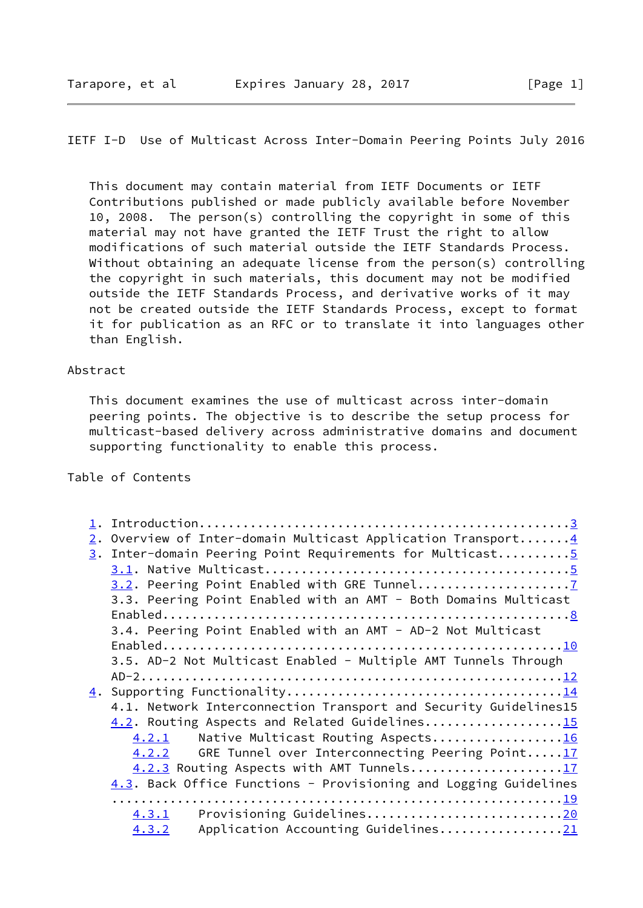# IETF I-D Use of Multicast Across Inter-Domain Peering Points July 2016

 This document may contain material from IETF Documents or IETF Contributions published or made publicly available before November 10, 2008. The person(s) controlling the copyright in some of this material may not have granted the IETF Trust the right to allow modifications of such material outside the IETF Standards Process. Without obtaining an adequate license from the person(s) controlling the copyright in such materials, this document may not be modified outside the IETF Standards Process, and derivative works of it may not be created outside the IETF Standards Process, except to format it for publication as an RFC or to translate it into languages other than English.

#### Abstract

 This document examines the use of multicast across inter-domain peering points. The objective is to describe the setup process for multicast-based delivery across administrative domains and document supporting functionality to enable this process.

## Table of Contents

| 2. Overview of Inter-domain Multicast Application Transport 4    |
|------------------------------------------------------------------|
| 3. Inter-domain Peering Point Requirements for Multicast5        |
|                                                                  |
|                                                                  |
| 3.3. Peering Point Enabled with an AMT - Both Domains Multicast  |
|                                                                  |
| 3.4. Peering Point Enabled with an AMT - AD-2 Not Multicast      |
|                                                                  |
| 3.5. AD-2 Not Multicast Enabled - Multiple AMT Tunnels Through   |
|                                                                  |
|                                                                  |
| 4.1. Network Interconnection Transport and Security Guidelines15 |
| 4.2. Routing Aspects and Related Guidelines15                    |
| Native Multicast Routing Aspects16<br>4.2.1                      |
| GRE Tunnel over Interconnecting Peering Point17<br>4.2.2         |
| 4.2.3 Routing Aspects with AMT Tunnels17                         |
| 4.3. Back Office Functions - Provisioning and Logging Guidelines |
|                                                                  |
| Provisioning Guidelines20<br>4.3.1                               |
| Application Accounting Guidelines21<br>4.3.2                     |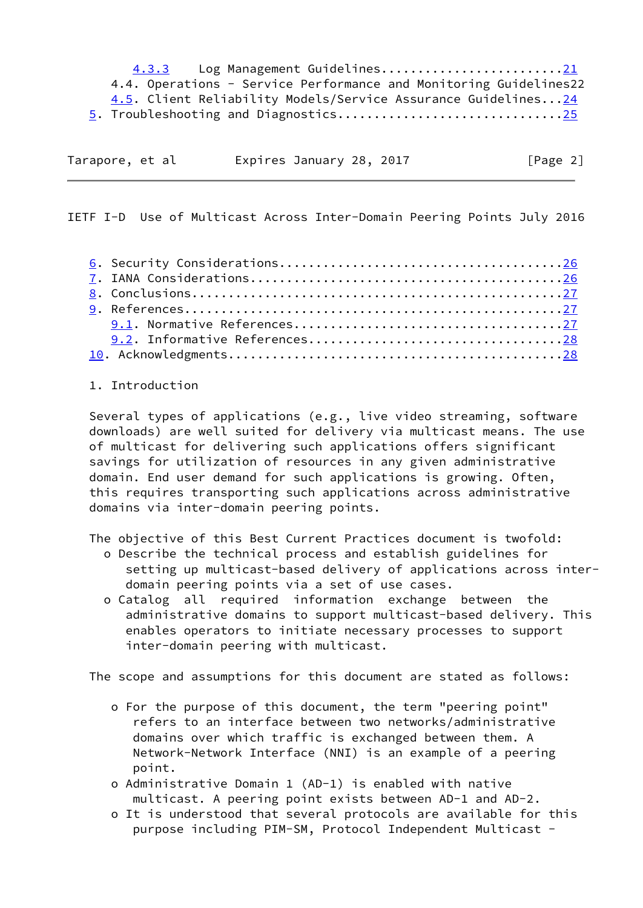4.3.3 Log Management Guidelines............................[.21](#page-21-0) 4.4. Operations - Service Performance and Monitoring Guidelines22 4.5. Client Reliability Models/Service Assurance Guidelines..[.24](#page-24-0) 5. Troubleshooting and Diagnostics..............................[.25](#page-25-0)

| Tarapore, et al | Expires January 28, 2017 | [Page 2] |
|-----------------|--------------------------|----------|

<span id="page-2-0"></span>IETF I-D Use of Multicast Across Inter-Domain Peering Points July 2016

#### 1. Introduction

 Several types of applications (e.g., live video streaming, software downloads) are well suited for delivery via multicast means. The use of multicast for delivering such applications offers significant savings for utilization of resources in any given administrative domain. End user demand for such applications is growing. Often, this requires transporting such applications across administrative domains via inter-domain peering points.

The objective of this Best Current Practices document is twofold:

- o Describe the technical process and establish guidelines for setting up multicast-based delivery of applications across inter domain peering points via a set of use cases.
- o Catalog all required information exchange between the administrative domains to support multicast-based delivery. This enables operators to initiate necessary processes to support inter-domain peering with multicast.

The scope and assumptions for this document are stated as follows:

- o For the purpose of this document, the term "peering point" refers to an interface between two networks/administrative domains over which traffic is exchanged between them. A Network-Network Interface (NNI) is an example of a peering point.
- o Administrative Domain 1 (AD-1) is enabled with native multicast. A peering point exists between AD-1 and AD-2.
- o It is understood that several protocols are available for this purpose including PIM-SM, Protocol Independent Multicast -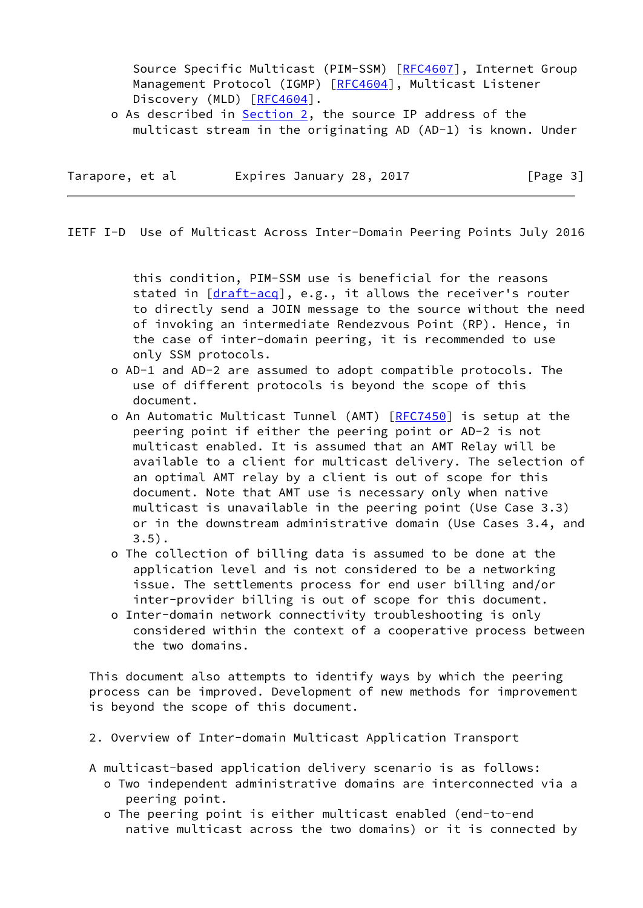Source Specific Multicast (PIM-SSM) [[RFC4607](https://datatracker.ietf.org/doc/pdf/rfc4607)], Internet Group Management Protocol (IGMP) [\[RFC4604](https://datatracker.ietf.org/doc/pdf/rfc4604)], Multicast Listener Discovery (MLD) [[RFC4604](https://datatracker.ietf.org/doc/pdf/rfc4604)].

o As described in Section 2, the source IP address of the multicast stream in the originating AD (AD-1) is known. Under

Tarapore, et al expires January 28, 2017 [Page 3]

<span id="page-3-0"></span>IETF I-D Use of Multicast Across Inter-Domain Peering Points July 2016

 this condition, PIM-SSM use is beneficial for the reasons stated in [\[draft-acq](https://datatracker.ietf.org/doc/pdf/draft-acq)], e.g., it allows the receiver's router to directly send a JOIN message to the source without the need of invoking an intermediate Rendezvous Point (RP). Hence, in the case of inter-domain peering, it is recommended to use only SSM protocols.

- o AD-1 and AD-2 are assumed to adopt compatible protocols. The use of different protocols is beyond the scope of this document.
- o An Automatic Multicast Tunnel (AMT) [\[RFC7450](https://datatracker.ietf.org/doc/pdf/rfc7450)] is setup at the peering point if either the peering point or AD-2 is not multicast enabled. It is assumed that an AMT Relay will be available to a client for multicast delivery. The selection of an optimal AMT relay by a client is out of scope for this document. Note that AMT use is necessary only when native multicast is unavailable in the peering point (Use Case 3.3) or in the downstream administrative domain (Use Cases 3.4, and 3.5).
- o The collection of billing data is assumed to be done at the application level and is not considered to be a networking issue. The settlements process for end user billing and/or inter-provider billing is out of scope for this document.
- o Inter-domain network connectivity troubleshooting is only considered within the context of a cooperative process between the two domains.

 This document also attempts to identify ways by which the peering process can be improved. Development of new methods for improvement is beyond the scope of this document.

- 2. Overview of Inter-domain Multicast Application Transport
- A multicast-based application delivery scenario is as follows:
	- o Two independent administrative domains are interconnected via a peering point.
	- o The peering point is either multicast enabled (end-to-end native multicast across the two domains) or it is connected by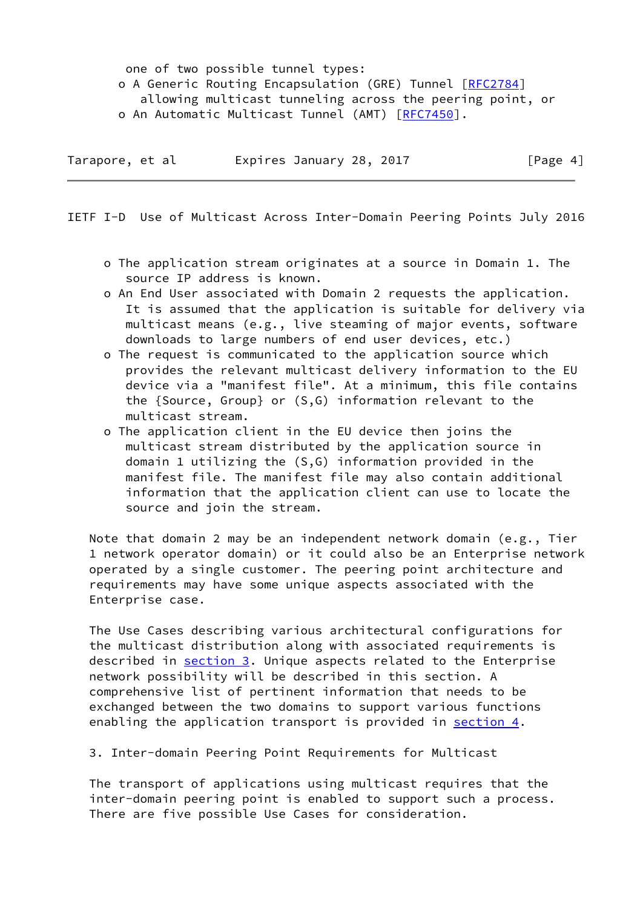one of two possible tunnel types: o A Generic Routing Encapsulation (GRE) Tunnel [[RFC2784\]](https://datatracker.ietf.org/doc/pdf/rfc2784) allowing multicast tunneling across the peering point, or o An Automatic Multicast Tunnel (AMT) [[RFC7450](https://datatracker.ietf.org/doc/pdf/rfc7450)].

| Tarapore, et al | Expires January 28, 2017 | [Page 4] |
|-----------------|--------------------------|----------|
|-----------------|--------------------------|----------|

<span id="page-4-0"></span>IETF I-D Use of Multicast Across Inter-Domain Peering Points July 2016

- o The application stream originates at a source in Domain 1. The source IP address is known.
- o An End User associated with Domain 2 requests the application. It is assumed that the application is suitable for delivery via multicast means (e.g., live steaming of major events, software downloads to large numbers of end user devices, etc.)
- o The request is communicated to the application source which provides the relevant multicast delivery information to the EU device via a "manifest file". At a minimum, this file contains the {Source, Group} or (S,G) information relevant to the multicast stream.
- o The application client in the EU device then joins the multicast stream distributed by the application source in domain 1 utilizing the (S,G) information provided in the manifest file. The manifest file may also contain additional information that the application client can use to locate the source and join the stream.

Note that domain 2 may be an independent network domain (e.g., Tier 1 network operator domain) or it could also be an Enterprise network operated by a single customer. The peering point architecture and requirements may have some unique aspects associated with the Enterprise case.

 The Use Cases describing various architectural configurations for the multicast distribution along with associated requirements is described in section 3. Unique aspects related to the Enterprise network possibility will be described in this section. A comprehensive list of pertinent information that needs to be exchanged between the two domains to support various functions enabling the application transport is provided in section  $4$ .

3. Inter-domain Peering Point Requirements for Multicast

 The transport of applications using multicast requires that the inter-domain peering point is enabled to support such a process. There are five possible Use Cases for consideration.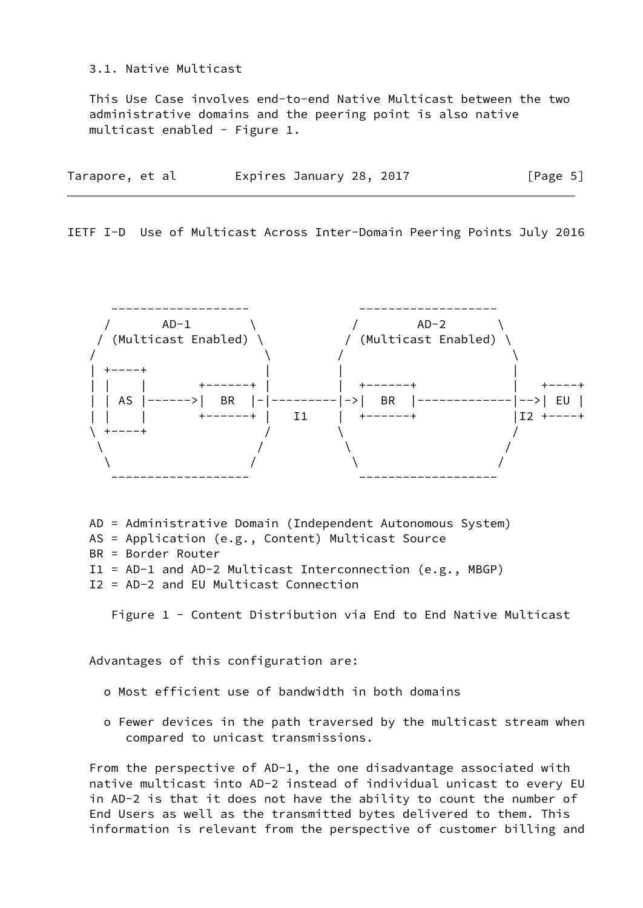### 3.1. Native Multicast

 This Use Case involves end-to-end Native Multicast between the two administrative domains and the peering point is also native multicast enabled - Figure 1.

| Tarapore, et al | Expires January 28, 2017 | [Page 5] |
|-----------------|--------------------------|----------|
|-----------------|--------------------------|----------|

IETF I-D Use of Multicast Across Inter-Domain Peering Points July 2016



 AD = Administrative Domain (Independent Autonomous System) AS = Application (e.g., Content) Multicast Source BR = Border Router I1 = AD-1 and AD-2 Multicast Interconnection (e.g., MBGP)

I2 = AD-2 and EU Multicast Connection

Figure 1 - Content Distribution via End to End Native Multicast

Advantages of this configuration are:

- o Most efficient use of bandwidth in both domains
- o Fewer devices in the path traversed by the multicast stream when compared to unicast transmissions.

 From the perspective of AD-1, the one disadvantage associated with native multicast into AD-2 instead of individual unicast to every EU in AD-2 is that it does not have the ability to count the number of End Users as well as the transmitted bytes delivered to them. This information is relevant from the perspective of customer billing and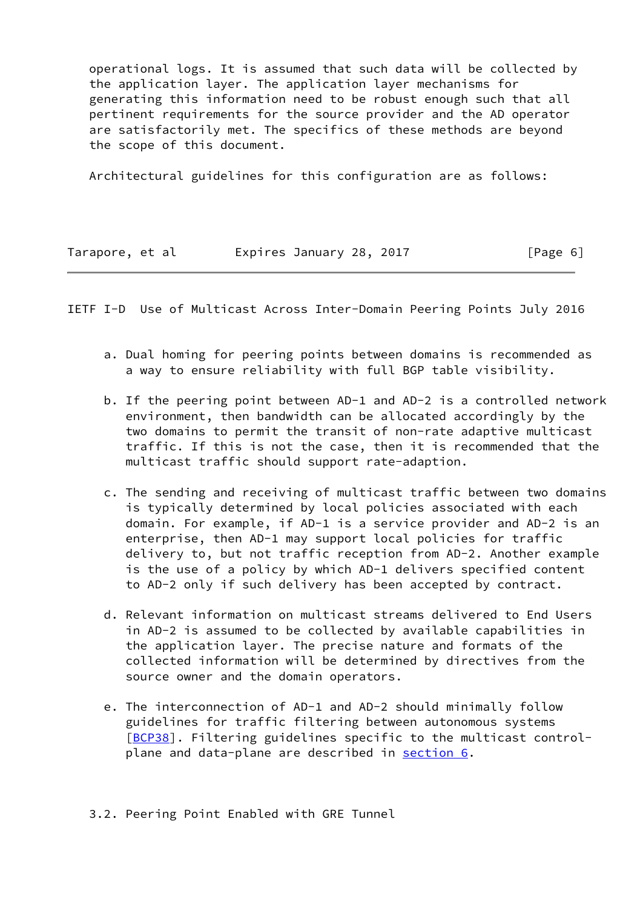operational logs. It is assumed that such data will be collected by the application layer. The application layer mechanisms for generating this information need to be robust enough such that all pertinent requirements for the source provider and the AD operator are satisfactorily met. The specifics of these methods are beyond the scope of this document.

Architectural guidelines for this configuration are as follows:

| Tarapore, et al | Expires January 28, 2017 | [Page 6] |
|-----------------|--------------------------|----------|
|                 |                          |          |

<span id="page-6-0"></span>IETF I-D Use of Multicast Across Inter-Domain Peering Points July 2016

- a. Dual homing for peering points between domains is recommended as a way to ensure reliability with full BGP table visibility.
- b. If the peering point between AD-1 and AD-2 is a controlled network environment, then bandwidth can be allocated accordingly by the two domains to permit the transit of non-rate adaptive multicast traffic. If this is not the case, then it is recommended that the multicast traffic should support rate-adaption.
- c. The sending and receiving of multicast traffic between two domains is typically determined by local policies associated with each domain. For example, if AD-1 is a service provider and AD-2 is an enterprise, then AD-1 may support local policies for traffic delivery to, but not traffic reception from AD-2. Another example is the use of a policy by which AD-1 delivers specified content to AD-2 only if such delivery has been accepted by contract.
- d. Relevant information on multicast streams delivered to End Users in AD-2 is assumed to be collected by available capabilities in the application layer. The precise nature and formats of the collected information will be determined by directives from the source owner and the domain operators.
- e. The interconnection of AD-1 and AD-2 should minimally follow guidelines for traffic filtering between autonomous systems [\[BCP38\]](#page-28-1). Filtering guidelines specific to the multicast control plane and data-plane are described in section 6.

3.2. Peering Point Enabled with GRE Tunnel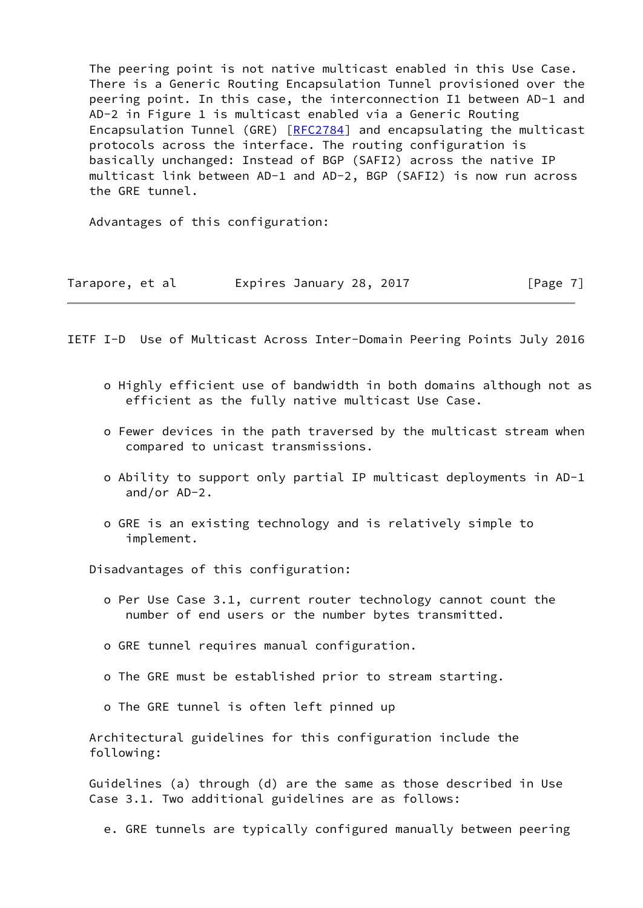The peering point is not native multicast enabled in this Use Case. There is a Generic Routing Encapsulation Tunnel provisioned over the peering point. In this case, the interconnection I1 between AD-1 and AD-2 in Figure 1 is multicast enabled via a Generic Routing Encapsulation Tunnel (GRE) [[RFC2784\]](https://datatracker.ietf.org/doc/pdf/rfc2784) and encapsulating the multicast protocols across the interface. The routing configuration is basically unchanged: Instead of BGP (SAFI2) across the native IP multicast link between AD-1 and AD-2, BGP (SAFI2) is now run across the GRE tunnel.

Advantages of this configuration:

| Tarapore, et al |  | Expires January 28, 2017 |  | [Page 7] |  |
|-----------------|--|--------------------------|--|----------|--|
|-----------------|--|--------------------------|--|----------|--|

<span id="page-7-0"></span>IETF I-D Use of Multicast Across Inter-Domain Peering Points July 2016

- o Highly efficient use of bandwidth in both domains although not as efficient as the fully native multicast Use Case.
- o Fewer devices in the path traversed by the multicast stream when compared to unicast transmissions.
- o Ability to support only partial IP multicast deployments in AD-1 and/or AD-2.
- o GRE is an existing technology and is relatively simple to implement.

Disadvantages of this configuration:

- o Per Use Case 3.1, current router technology cannot count the number of end users or the number bytes transmitted.
- o GRE tunnel requires manual configuration.
- o The GRE must be established prior to stream starting.
- o The GRE tunnel is often left pinned up

 Architectural guidelines for this configuration include the following:

 Guidelines (a) through (d) are the same as those described in Use Case 3.1. Two additional guidelines are as follows:

e. GRE tunnels are typically configured manually between peering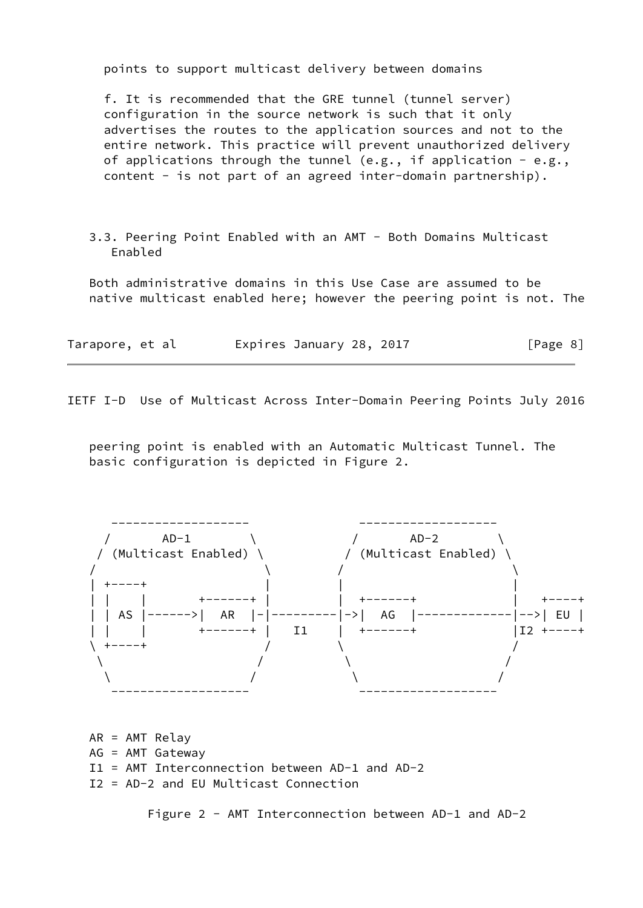points to support multicast delivery between domains

 f. It is recommended that the GRE tunnel (tunnel server) configuration in the source network is such that it only advertises the routes to the application sources and not to the entire network. This practice will prevent unauthorized delivery of applications through the tunnel (e.g., if application  $-$  e.g., content - is not part of an agreed inter-domain partnership).

 3.3. Peering Point Enabled with an AMT - Both Domains Multicast Enabled

 Both administrative domains in this Use Case are assumed to be native multicast enabled here; however the peering point is not. The

| Tarapore, et al | Expires January 28, 2017 | [Page 8] |
|-----------------|--------------------------|----------|
|-----------------|--------------------------|----------|

IETF I-D Use of Multicast Across Inter-Domain Peering Points July 2016

 peering point is enabled with an Automatic Multicast Tunnel. The basic configuration is depicted in Figure 2.



 AR = AMT Relay AG = AMT Gateway I1 = AMT Interconnection between AD-1 and AD-2 I2 = AD-2 and EU Multicast Connection

Figure 2 - AMT Interconnection between AD-1 and AD-2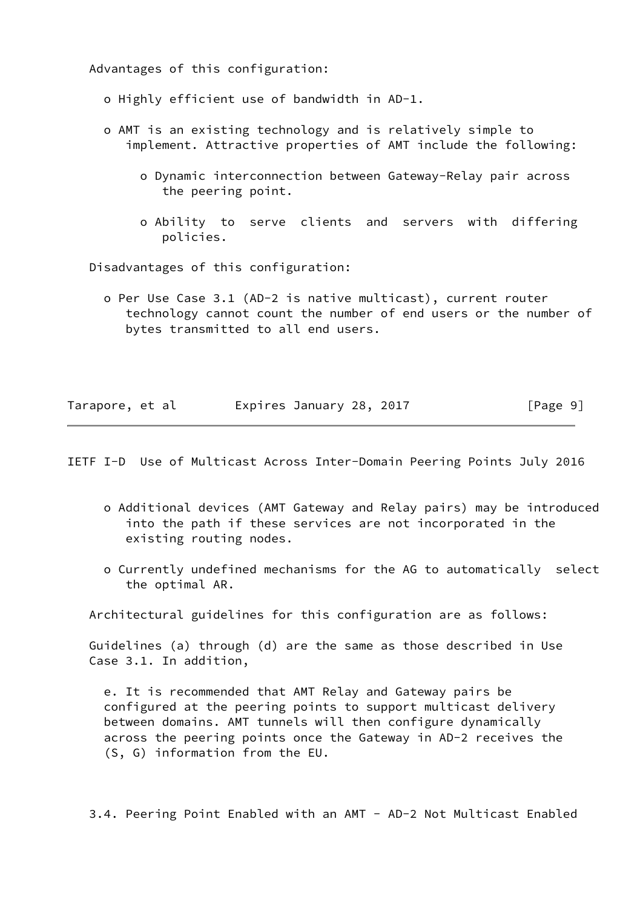Advantages of this configuration:

- o Highly efficient use of bandwidth in AD-1.
- o AMT is an existing technology and is relatively simple to implement. Attractive properties of AMT include the following:
	- o Dynamic interconnection between Gateway-Relay pair across the peering point.
	- o Ability to serve clients and servers with differing policies.

Disadvantages of this configuration:

 o Per Use Case 3.1 (AD-2 is native multicast), current router technology cannot count the number of end users or the number of bytes transmitted to all end users.

| Tarapore, et al |  | Expires January 28, 2017 |  | [Page 9] |  |
|-----------------|--|--------------------------|--|----------|--|
|                 |  |                          |  |          |  |

<span id="page-9-0"></span>IETF I-D Use of Multicast Across Inter-Domain Peering Points July 2016

- o Additional devices (AMT Gateway and Relay pairs) may be introduced into the path if these services are not incorporated in the existing routing nodes.
- o Currently undefined mechanisms for the AG to automatically select the optimal AR.

Architectural guidelines for this configuration are as follows:

 Guidelines (a) through (d) are the same as those described in Use Case 3.1. In addition,

 e. It is recommended that AMT Relay and Gateway pairs be configured at the peering points to support multicast delivery between domains. AMT tunnels will then configure dynamically across the peering points once the Gateway in AD-2 receives the (S, G) information from the EU.

3.4. Peering Point Enabled with an AMT - AD-2 Not Multicast Enabled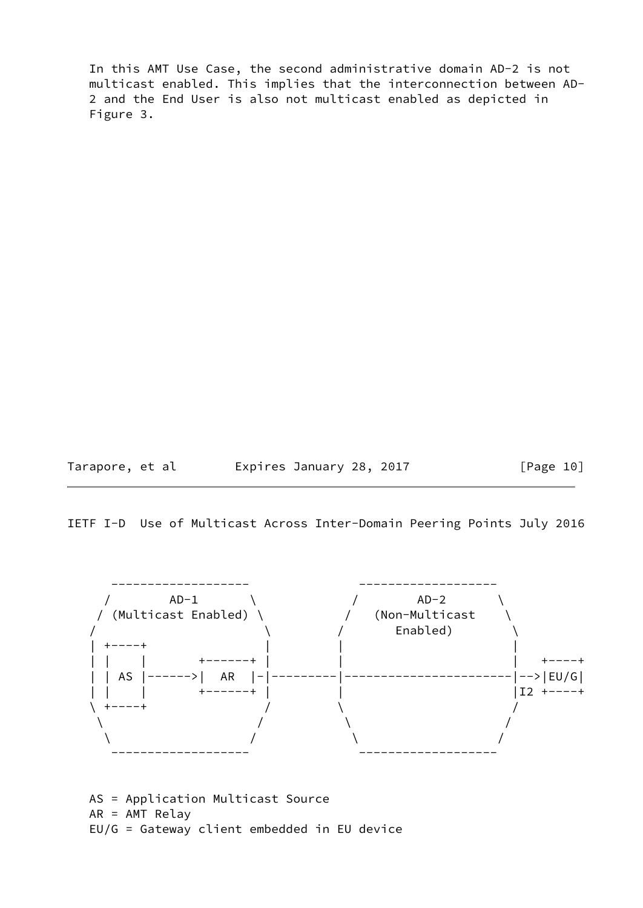In this AMT Use Case, the second administrative domain AD-2 is not multicast enabled. This implies that the interconnection between AD- 2 and the End User is also not multicast enabled as depicted in Figure 3.

Tarapore, et al Expires January 28, 2017 [Page 10]

IETF I-D Use of Multicast Across Inter-Domain Peering Points July 2016



 AS = Application Multicast Source AR = AMT Relay EU/G = Gateway client embedded in EU device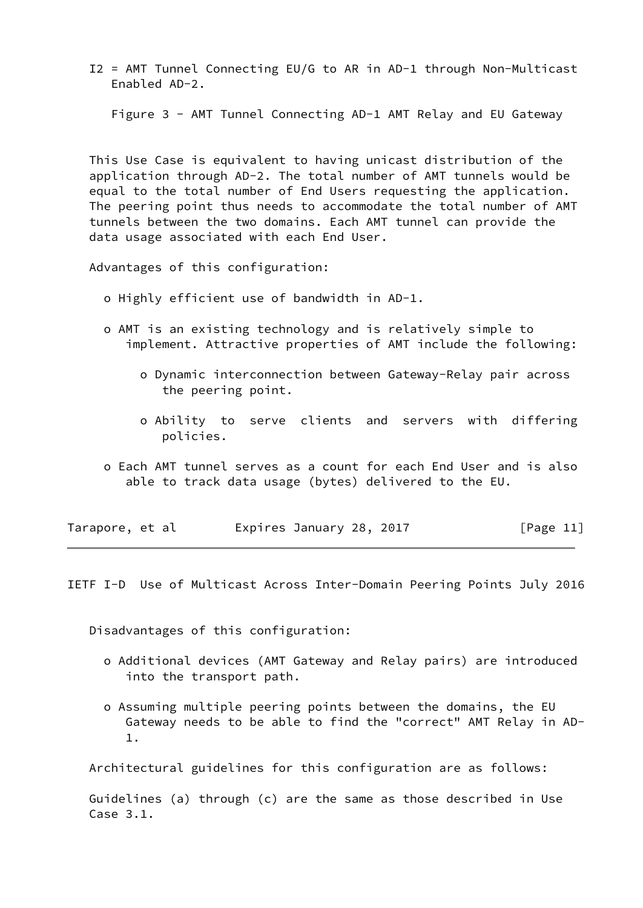I2 = AMT Tunnel Connecting EU/G to AR in AD-1 through Non-Multicast Enabled AD-2.

Figure 3 - AMT Tunnel Connecting AD-1 AMT Relay and EU Gateway

 This Use Case is equivalent to having unicast distribution of the application through AD-2. The total number of AMT tunnels would be equal to the total number of End Users requesting the application. The peering point thus needs to accommodate the total number of AMT tunnels between the two domains. Each AMT tunnel can provide the data usage associated with each End User.

Advantages of this configuration:

- o Highly efficient use of bandwidth in AD-1.
- o AMT is an existing technology and is relatively simple to implement. Attractive properties of AMT include the following:
	- o Dynamic interconnection between Gateway-Relay pair across the peering point.
	- o Ability to serve clients and servers with differing policies.
- o Each AMT tunnel serves as a count for each End User and is also able to track data usage (bytes) delivered to the EU.

| Tarapore, et al |  | Expires January 28, 2017 |  | [Page 11] |  |
|-----------------|--|--------------------------|--|-----------|--|
|-----------------|--|--------------------------|--|-----------|--|

<span id="page-11-0"></span>IETF I-D Use of Multicast Across Inter-Domain Peering Points July 2016

Disadvantages of this configuration:

- o Additional devices (AMT Gateway and Relay pairs) are introduced into the transport path.
- o Assuming multiple peering points between the domains, the EU Gateway needs to be able to find the "correct" AMT Relay in AD- 1.

Architectural guidelines for this configuration are as follows:

 Guidelines (a) through (c) are the same as those described in Use Case 3.1.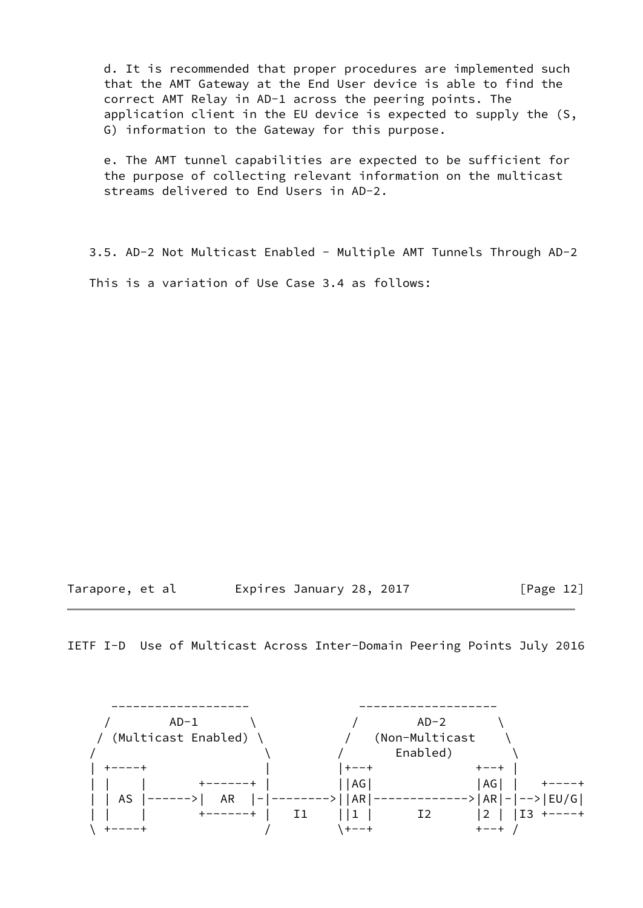d. It is recommended that proper procedures are implemented such that the AMT Gateway at the End User device is able to find the correct AMT Relay in AD-1 across the peering points. The application client in the EU device is expected to supply the (S, G) information to the Gateway for this purpose.

 e. The AMT tunnel capabilities are expected to be sufficient for the purpose of collecting relevant information on the multicast streams delivered to End Users in AD-2.

 3.5. AD-2 Not Multicast Enabled - Multiple AMT Tunnels Through AD-2 This is a variation of Use Case 3.4 as follows:

Tarapore, et al  $\qquad \qquad$  Expires January 28, 2017 [Page 12]

IETF I-D Use of Multicast Across Inter-Domain Peering Points July 2016

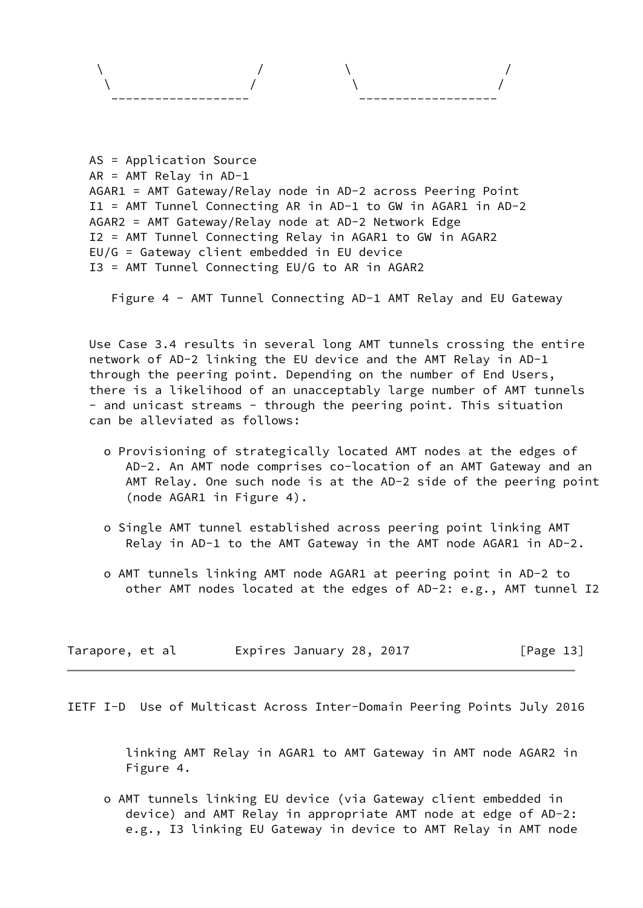| -------------------- |  | -------------------- |
|----------------------|--|----------------------|

```
 AS = Application Source
AR = AMT Relay in AD-1
AGAR1 = AMT Gateway/Relay node in AD-2 across Peering Point
I1 = AMT Tunnel Connecting AR in AD-1 to GW in AGAR1 in AD-2
AGAR2 = AMT Gateway/Relay node at AD-2 Network Edge
I2 = AMT Tunnel Connecting Relay in AGAR1 to GW in AGAR2
EU/G = Gateway client embedded in EU device
I3 = AMT Tunnel Connecting EU/G to AR in AGAR2
```
Figure 4 - AMT Tunnel Connecting AD-1 AMT Relay and EU Gateway

 Use Case 3.4 results in several long AMT tunnels crossing the entire network of AD-2 linking the EU device and the AMT Relay in AD-1 through the peering point. Depending on the number of End Users, there is a likelihood of an unacceptably large number of AMT tunnels - and unicast streams - through the peering point. This situation can be alleviated as follows:

- o Provisioning of strategically located AMT nodes at the edges of AD-2. An AMT node comprises co-location of an AMT Gateway and an AMT Relay. One such node is at the AD-2 side of the peering point (node AGAR1 in Figure 4).
- o Single AMT tunnel established across peering point linking AMT Relay in AD-1 to the AMT Gateway in the AMT node AGAR1 in AD-2.
- o AMT tunnels linking AMT node AGAR1 at peering point in AD-2 to other AMT nodes located at the edges of AD-2: e.g., AMT tunnel I2

| Tarapore, et al | Expires January 28, 2017 |  | [Page 13] |
|-----------------|--------------------------|--|-----------|
|-----------------|--------------------------|--|-----------|

<span id="page-13-0"></span>IETF I-D Use of Multicast Across Inter-Domain Peering Points July 2016

 linking AMT Relay in AGAR1 to AMT Gateway in AMT node AGAR2 in Figure 4.

 o AMT tunnels linking EU device (via Gateway client embedded in device) and AMT Relay in appropriate AMT node at edge of AD-2: e.g., I3 linking EU Gateway in device to AMT Relay in AMT node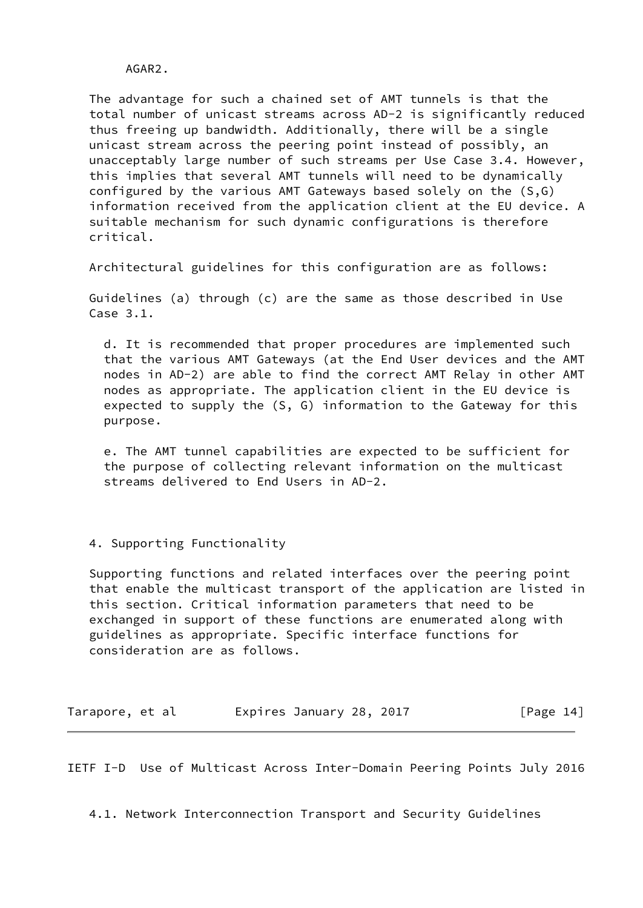AGAR2.

 The advantage for such a chained set of AMT tunnels is that the total number of unicast streams across AD-2 is significantly reduced thus freeing up bandwidth. Additionally, there will be a single unicast stream across the peering point instead of possibly, an unacceptably large number of such streams per Use Case 3.4. However, this implies that several AMT tunnels will need to be dynamically configured by the various AMT Gateways based solely on the (S,G) information received from the application client at the EU device. A suitable mechanism for such dynamic configurations is therefore critical.

Architectural guidelines for this configuration are as follows:

 Guidelines (a) through (c) are the same as those described in Use Case 3.1.

 d. It is recommended that proper procedures are implemented such that the various AMT Gateways (at the End User devices and the AMT nodes in AD-2) are able to find the correct AMT Relay in other AMT nodes as appropriate. The application client in the EU device is expected to supply the (S, G) information to the Gateway for this purpose.

 e. The AMT tunnel capabilities are expected to be sufficient for the purpose of collecting relevant information on the multicast streams delivered to End Users in AD-2.

4. Supporting Functionality

 Supporting functions and related interfaces over the peering point that enable the multicast transport of the application are listed in this section. Critical information parameters that need to be exchanged in support of these functions are enumerated along with guidelines as appropriate. Specific interface functions for consideration are as follows.

| Tarapore, et al |  | Expires January 28, 2017 |  |  | [Page 14] |
|-----------------|--|--------------------------|--|--|-----------|
|-----------------|--|--------------------------|--|--|-----------|

<span id="page-14-0"></span>IETF I-D Use of Multicast Across Inter-Domain Peering Points July 2016

4.1. Network Interconnection Transport and Security Guidelines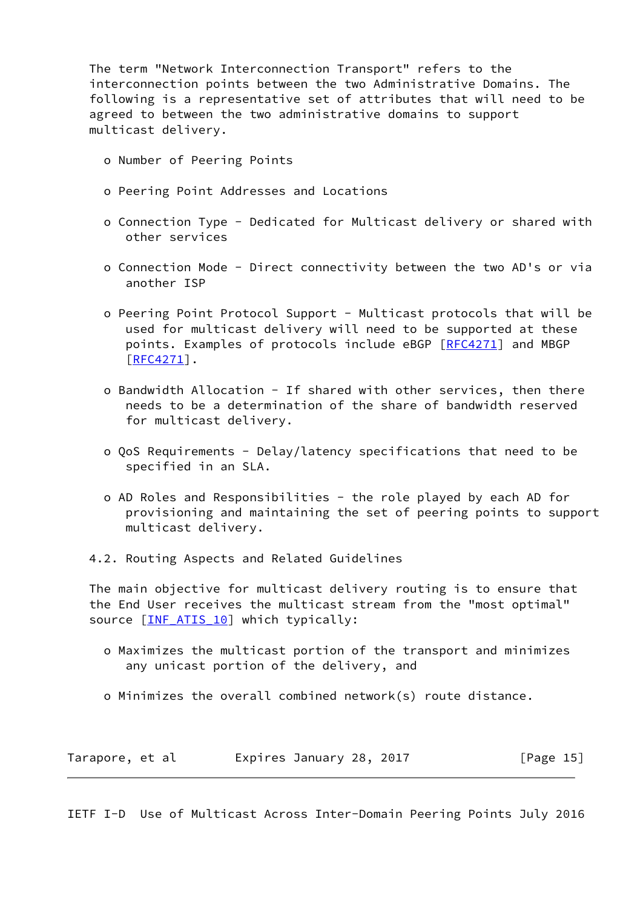The term "Network Interconnection Transport" refers to the interconnection points between the two Administrative Domains. The following is a representative set of attributes that will need to be agreed to between the two administrative domains to support multicast delivery.

- o Number of Peering Points
- o Peering Point Addresses and Locations
- o Connection Type Dedicated for Multicast delivery or shared with other services
- o Connection Mode Direct connectivity between the two AD's or via another ISP
- o Peering Point Protocol Support Multicast protocols that will be used for multicast delivery will need to be supported at these points. Examples of protocols include eBGP [\[RFC4271](https://datatracker.ietf.org/doc/pdf/rfc4271)] and MBGP [\[RFC4271](https://datatracker.ietf.org/doc/pdf/rfc4271)].
- o Bandwidth Allocation If shared with other services, then there needs to be a determination of the share of bandwidth reserved for multicast delivery.
- o QoS Requirements Delay/latency specifications that need to be specified in an SLA.
- o AD Roles and Responsibilities the role played by each AD for provisioning and maintaining the set of peering points to support multicast delivery.
- 4.2. Routing Aspects and Related Guidelines

 The main objective for multicast delivery routing is to ensure that the End User receives the multicast stream from the "most optimal" source [\[INF\\_ATIS\\_10](#page-28-2)] which typically:

- o Maximizes the multicast portion of the transport and minimizes any unicast portion of the delivery, and
- o Minimizes the overall combined network(s) route distance.

| Tarapore, et al | Expires January 28, 2017 |  | [Page 15] |
|-----------------|--------------------------|--|-----------|
|-----------------|--------------------------|--|-----------|

<span id="page-15-0"></span>IETF I-D Use of Multicast Across Inter-Domain Peering Points July 2016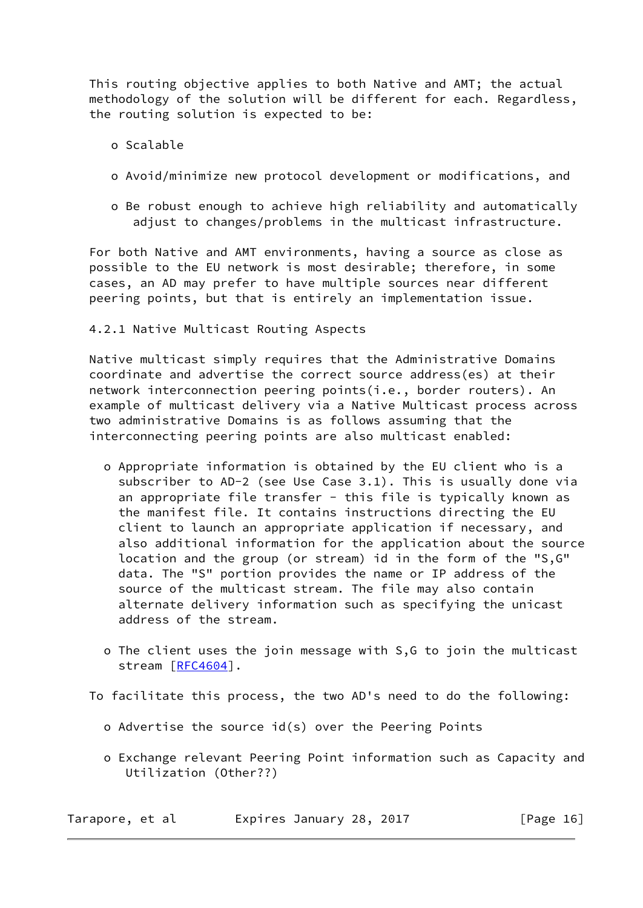This routing objective applies to both Native and AMT; the actual methodology of the solution will be different for each. Regardless, the routing solution is expected to be:

o Scalable

- o Avoid/minimize new protocol development or modifications, and
- o Be robust enough to achieve high reliability and automatically adjust to changes/problems in the multicast infrastructure.

 For both Native and AMT environments, having a source as close as possible to the EU network is most desirable; therefore, in some cases, an AD may prefer to have multiple sources near different peering points, but that is entirely an implementation issue.

4.2.1 Native Multicast Routing Aspects

 Native multicast simply requires that the Administrative Domains coordinate and advertise the correct source address(es) at their network interconnection peering points(i.e., border routers). An example of multicast delivery via a Native Multicast process across two administrative Domains is as follows assuming that the interconnecting peering points are also multicast enabled:

- o Appropriate information is obtained by the EU client who is a subscriber to AD-2 (see Use Case 3.1). This is usually done via an appropriate file transfer - this file is typically known as the manifest file. It contains instructions directing the EU client to launch an appropriate application if necessary, and also additional information for the application about the source location and the group (or stream) id in the form of the "S,G" data. The "S" portion provides the name or IP address of the source of the multicast stream. The file may also contain alternate delivery information such as specifying the unicast address of the stream.
- o The client uses the join message with S,G to join the multicast stream [[RFC4604\]](https://datatracker.ietf.org/doc/pdf/rfc4604).

To facilitate this process, the two AD's need to do the following:

- o Advertise the source id(s) over the Peering Points
- o Exchange relevant Peering Point information such as Capacity and Utilization (Other??)

Tarapore, et al interpries January 28, 2017 [Page 16]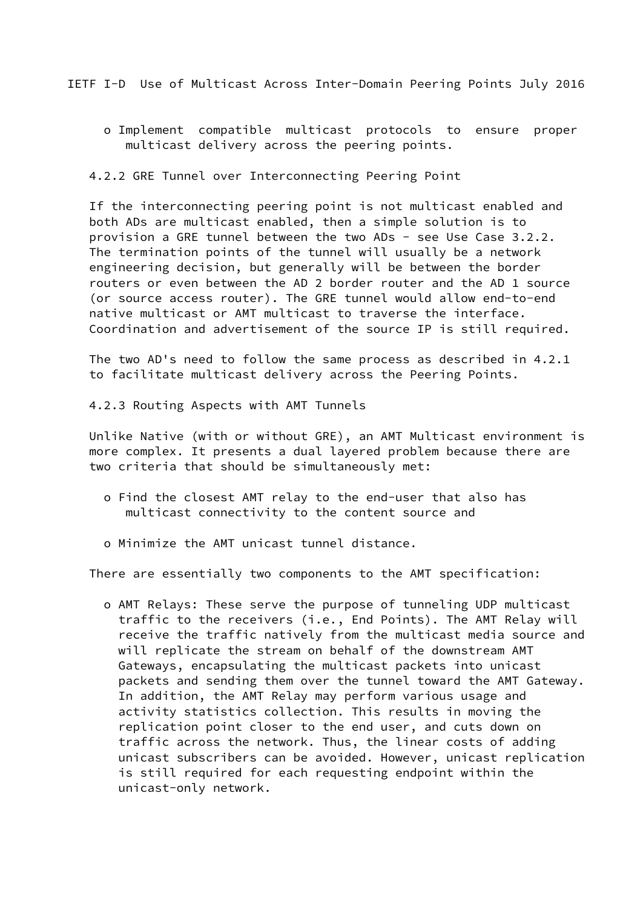<span id="page-17-0"></span>IETF I-D Use of Multicast Across Inter-Domain Peering Points July 2016

 o Implement compatible multicast protocols to ensure proper multicast delivery across the peering points.

4.2.2 GRE Tunnel over Interconnecting Peering Point

 If the interconnecting peering point is not multicast enabled and both ADs are multicast enabled, then a simple solution is to provision a GRE tunnel between the two ADs - see Use Case 3.2.2. The termination points of the tunnel will usually be a network engineering decision, but generally will be between the border routers or even between the AD 2 border router and the AD 1 source (or source access router). The GRE tunnel would allow end-to-end native multicast or AMT multicast to traverse the interface. Coordination and advertisement of the source IP is still required.

 The two AD's need to follow the same process as described in 4.2.1 to facilitate multicast delivery across the Peering Points.

4.2.3 Routing Aspects with AMT Tunnels

 Unlike Native (with or without GRE), an AMT Multicast environment is more complex. It presents a dual layered problem because there are two criteria that should be simultaneously met:

- o Find the closest AMT relay to the end-user that also has multicast connectivity to the content source and
- o Minimize the AMT unicast tunnel distance.

There are essentially two components to the AMT specification:

 o AMT Relays: These serve the purpose of tunneling UDP multicast traffic to the receivers (i.e., End Points). The AMT Relay will receive the traffic natively from the multicast media source and will replicate the stream on behalf of the downstream AMT Gateways, encapsulating the multicast packets into unicast packets and sending them over the tunnel toward the AMT Gateway. In addition, the AMT Relay may perform various usage and activity statistics collection. This results in moving the replication point closer to the end user, and cuts down on traffic across the network. Thus, the linear costs of adding unicast subscribers can be avoided. However, unicast replication is still required for each requesting endpoint within the unicast-only network.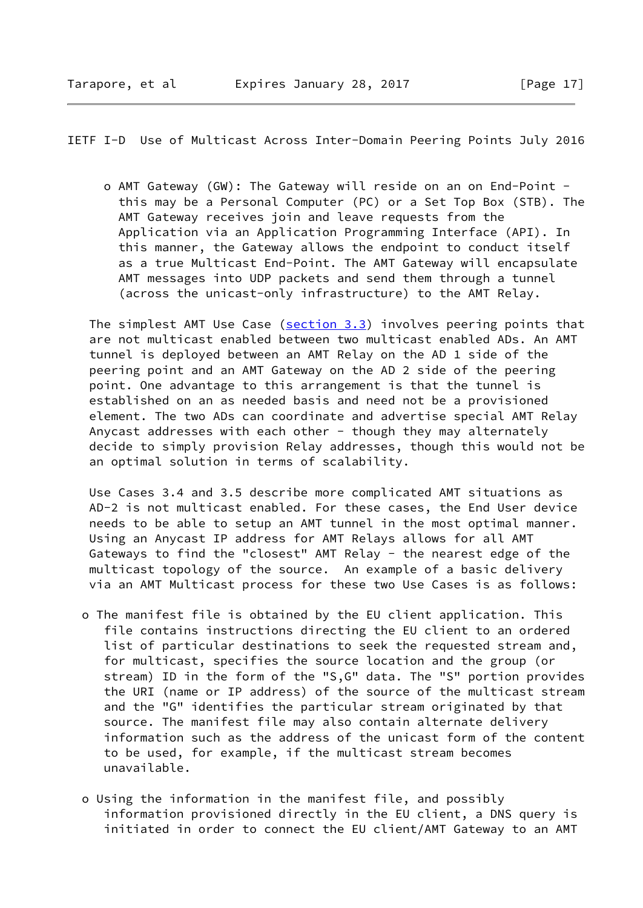IETF I-D Use of Multicast Across Inter-Domain Peering Points July 2016

 o AMT Gateway (GW): The Gateway will reside on an on End-Point this may be a Personal Computer (PC) or a Set Top Box (STB). The AMT Gateway receives join and leave requests from the Application via an Application Programming Interface (API). In this manner, the Gateway allows the endpoint to conduct itself as a true Multicast End-Point. The AMT Gateway will encapsulate AMT messages into UDP packets and send them through a tunnel (across the unicast-only infrastructure) to the AMT Relay.

The simplest AMT Use Case  $(s_{\text{section 3.3}})$  involves peering points that are not multicast enabled between two multicast enabled ADs. An AMT tunnel is deployed between an AMT Relay on the AD 1 side of the peering point and an AMT Gateway on the AD 2 side of the peering point. One advantage to this arrangement is that the tunnel is established on an as needed basis and need not be a provisioned element. The two ADs can coordinate and advertise special AMT Relay Anycast addresses with each other - though they may alternately decide to simply provision Relay addresses, though this would not be an optimal solution in terms of scalability.

 Use Cases 3.4 and 3.5 describe more complicated AMT situations as AD-2 is not multicast enabled. For these cases, the End User device needs to be able to setup an AMT tunnel in the most optimal manner. Using an Anycast IP address for AMT Relays allows for all AMT Gateways to find the "closest" AMT Relay - the nearest edge of the multicast topology of the source. An example of a basic delivery via an AMT Multicast process for these two Use Cases is as follows:

- o The manifest file is obtained by the EU client application. This file contains instructions directing the EU client to an ordered list of particular destinations to seek the requested stream and, for multicast, specifies the source location and the group (or stream) ID in the form of the "S,G" data. The "S" portion provides the URI (name or IP address) of the source of the multicast stream and the "G" identifies the particular stream originated by that source. The manifest file may also contain alternate delivery information such as the address of the unicast form of the content to be used, for example, if the multicast stream becomes unavailable.
- o Using the information in the manifest file, and possibly information provisioned directly in the EU client, a DNS query is initiated in order to connect the EU client/AMT Gateway to an AMT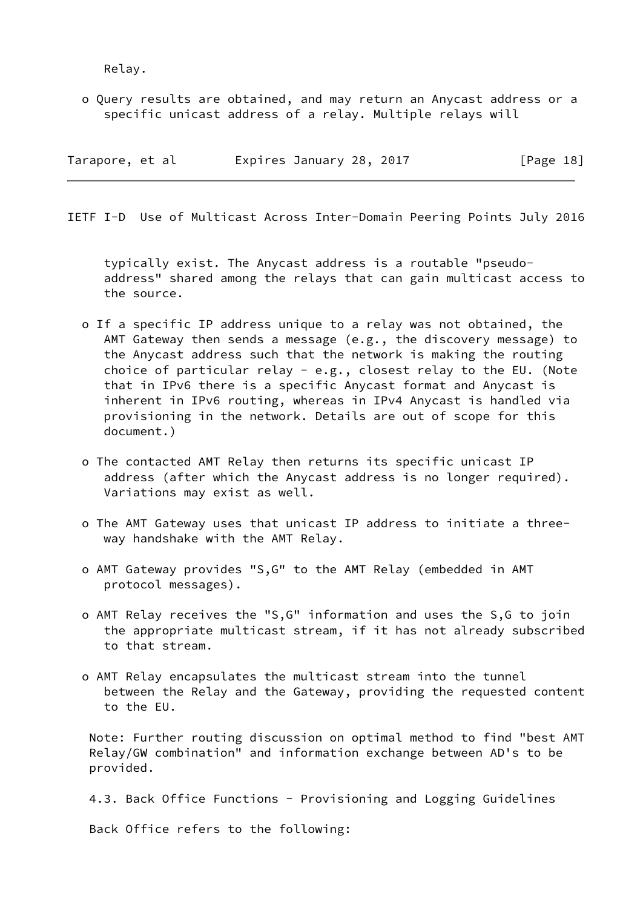Relay.

 o Query results are obtained, and may return an Anycast address or a specific unicast address of a relay. Multiple relays will

| Tarapore, et al | Expires January 28, 2017 | [Page 18] |
|-----------------|--------------------------|-----------|
|-----------------|--------------------------|-----------|

<span id="page-19-0"></span>IETF I-D Use of Multicast Across Inter-Domain Peering Points July 2016

 typically exist. The Anycast address is a routable "pseudo address" shared among the relays that can gain multicast access to the source.

- o If a specific IP address unique to a relay was not obtained, the AMT Gateway then sends a message (e.g., the discovery message) to the Anycast address such that the network is making the routing choice of particular relay - e.g., closest relay to the EU. (Note that in IPv6 there is a specific Anycast format and Anycast is inherent in IPv6 routing, whereas in IPv4 Anycast is handled via provisioning in the network. Details are out of scope for this document.)
- o The contacted AMT Relay then returns its specific unicast IP address (after which the Anycast address is no longer required). Variations may exist as well.
- o The AMT Gateway uses that unicast IP address to initiate a three way handshake with the AMT Relay.
- o AMT Gateway provides "S,G" to the AMT Relay (embedded in AMT protocol messages).
- o AMT Relay receives the "S,G" information and uses the S,G to join the appropriate multicast stream, if it has not already subscribed to that stream.
- o AMT Relay encapsulates the multicast stream into the tunnel between the Relay and the Gateway, providing the requested content to the EU.

 Note: Further routing discussion on optimal method to find "best AMT Relay/GW combination" and information exchange between AD's to be provided.

4.3. Back Office Functions - Provisioning and Logging Guidelines

Back Office refers to the following: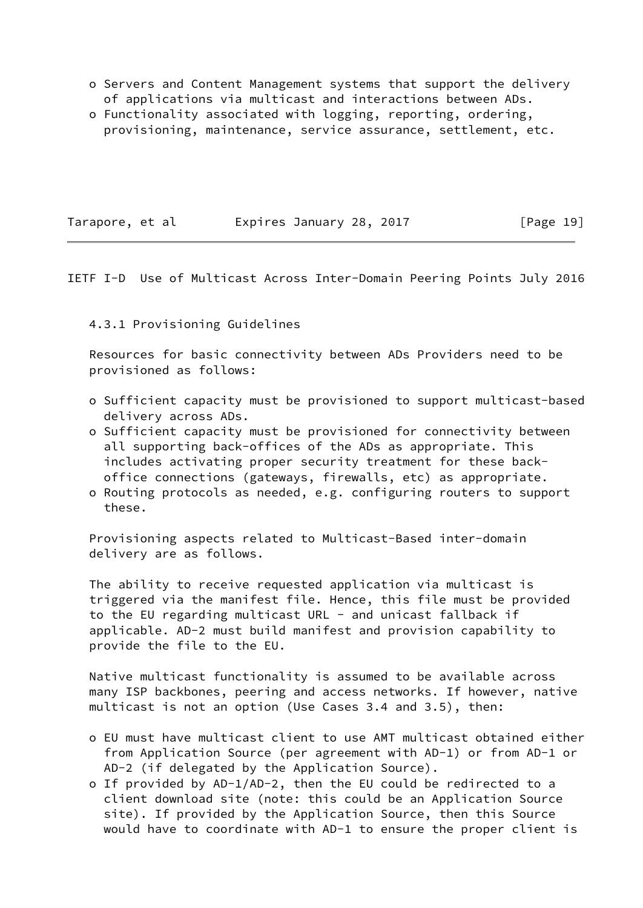- o Servers and Content Management systems that support the delivery of applications via multicast and interactions between ADs.
- o Functionality associated with logging, reporting, ordering, provisioning, maintenance, service assurance, settlement, etc.

Tarapore, et al expires January 28, 2017 [Page 19]

#### <span id="page-20-0"></span>IETF I-D Use of Multicast Across Inter-Domain Peering Points July 2016

### 4.3.1 Provisioning Guidelines

 Resources for basic connectivity between ADs Providers need to be provisioned as follows:

- o Sufficient capacity must be provisioned to support multicast-based delivery across ADs.
- o Sufficient capacity must be provisioned for connectivity between all supporting back-offices of the ADs as appropriate. This includes activating proper security treatment for these back office connections (gateways, firewalls, etc) as appropriate.
- o Routing protocols as needed, e.g. configuring routers to support these.

 Provisioning aspects related to Multicast-Based inter-domain delivery are as follows.

 The ability to receive requested application via multicast is triggered via the manifest file. Hence, this file must be provided to the EU regarding multicast URL - and unicast fallback if applicable. AD-2 must build manifest and provision capability to provide the file to the EU.

 Native multicast functionality is assumed to be available across many ISP backbones, peering and access networks. If however, native multicast is not an option (Use Cases 3.4 and 3.5), then:

- o EU must have multicast client to use AMT multicast obtained either from Application Source (per agreement with AD-1) or from AD-1 or AD-2 (if delegated by the Application Source).
- o If provided by AD-1/AD-2, then the EU could be redirected to a client download site (note: this could be an Application Source site). If provided by the Application Source, then this Source would have to coordinate with AD-1 to ensure the proper client is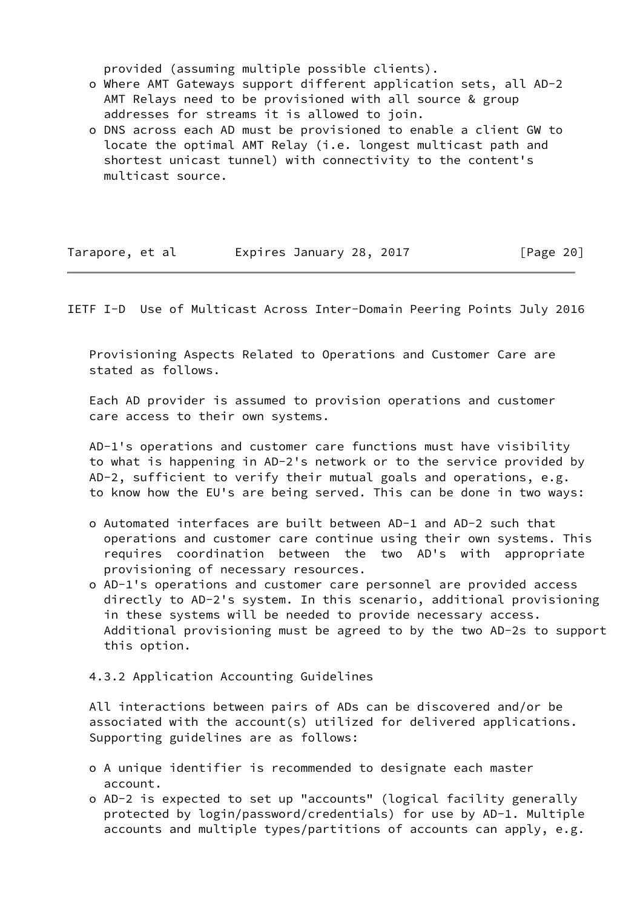provided (assuming multiple possible clients).

- o Where AMT Gateways support different application sets, all AD-2 AMT Relays need to be provisioned with all source & group addresses for streams it is allowed to join.
- o DNS across each AD must be provisioned to enable a client GW to locate the optimal AMT Relay (i.e. longest multicast path and shortest unicast tunnel) with connectivity to the content's multicast source.

| Tarapore, et al | Expires January 28, 2017 | [Page 20] |
|-----------------|--------------------------|-----------|
|-----------------|--------------------------|-----------|

<span id="page-21-0"></span>IETF I-D Use of Multicast Across Inter-Domain Peering Points July 2016

 Provisioning Aspects Related to Operations and Customer Care are stated as follows.

 Each AD provider is assumed to provision operations and customer care access to their own systems.

 AD-1's operations and customer care functions must have visibility to what is happening in AD-2's network or to the service provided by AD-2, sufficient to verify their mutual goals and operations, e.g. to know how the EU's are being served. This can be done in two ways:

- o Automated interfaces are built between AD-1 and AD-2 such that operations and customer care continue using their own systems. This requires coordination between the two AD's with appropriate provisioning of necessary resources.
- o AD-1's operations and customer care personnel are provided access directly to AD-2's system. In this scenario, additional provisioning in these systems will be needed to provide necessary access. Additional provisioning must be agreed to by the two AD-2s to support this option.
- 4.3.2 Application Accounting Guidelines

 All interactions between pairs of ADs can be discovered and/or be associated with the account(s) utilized for delivered applications. Supporting guidelines are as follows:

- o A unique identifier is recommended to designate each master account.
- o AD-2 is expected to set up "accounts" (logical facility generally protected by login/password/credentials) for use by AD-1. Multiple accounts and multiple types/partitions of accounts can apply, e.g.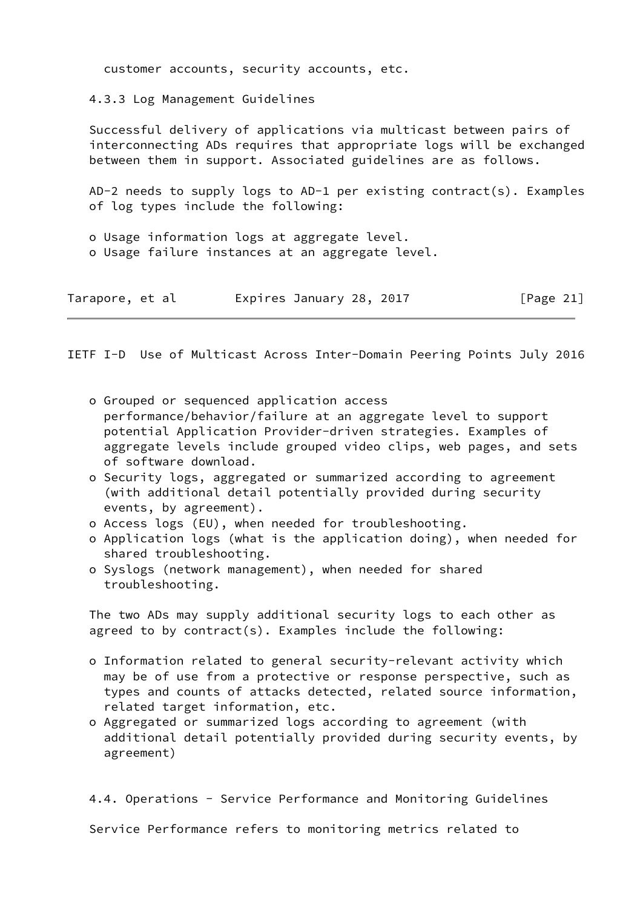customer accounts, security accounts, etc.

4.3.3 Log Management Guidelines

 Successful delivery of applications via multicast between pairs of interconnecting ADs requires that appropriate logs will be exchanged between them in support. Associated guidelines are as follows.

 AD-2 needs to supply logs to AD-1 per existing contract(s). Examples of log types include the following:

 o Usage information logs at aggregate level. o Usage failure instances at an aggregate level.

| Tarapore, et al |  |  | Expires January 28, 2017 |  |  |  |  | [Page 21] |  |
|-----------------|--|--|--------------------------|--|--|--|--|-----------|--|
|-----------------|--|--|--------------------------|--|--|--|--|-----------|--|

IETF I-D Use of Multicast Across Inter-Domain Peering Points July 2016

- o Grouped or sequenced application access performance/behavior/failure at an aggregate level to support potential Application Provider-driven strategies. Examples of aggregate levels include grouped video clips, web pages, and sets of software download.
- o Security logs, aggregated or summarized according to agreement (with additional detail potentially provided during security events, by agreement).
- o Access logs (EU), when needed for troubleshooting.
- o Application logs (what is the application doing), when needed for shared troubleshooting.
- o Syslogs (network management), when needed for shared troubleshooting.

 The two ADs may supply additional security logs to each other as agreed to by contract(s). Examples include the following:

- o Information related to general security-relevant activity which may be of use from a protective or response perspective, such as types and counts of attacks detected, related source information, related target information, etc.
- o Aggregated or summarized logs according to agreement (with additional detail potentially provided during security events, by agreement)

4.4. Operations - Service Performance and Monitoring Guidelines

Service Performance refers to monitoring metrics related to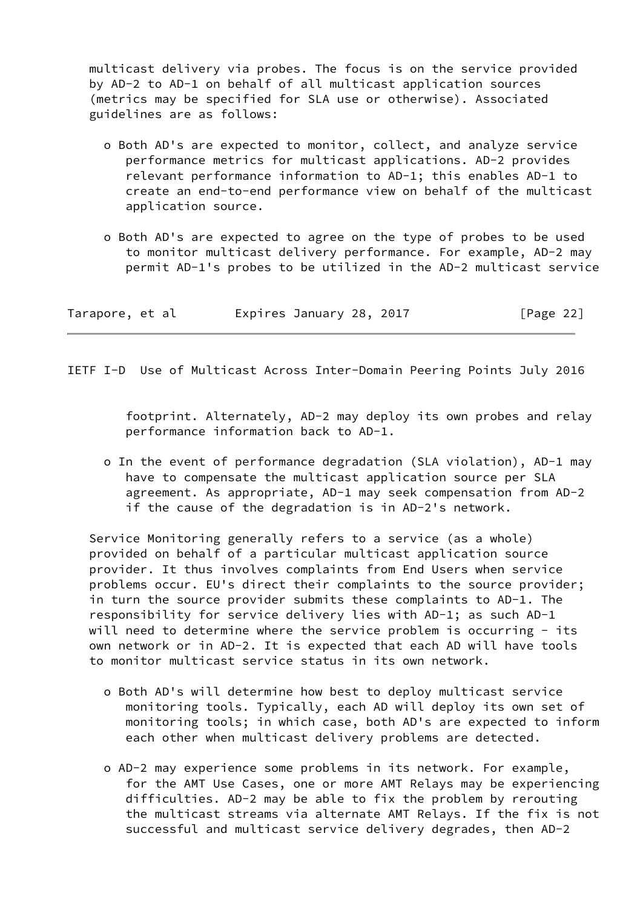multicast delivery via probes. The focus is on the service provided by AD-2 to AD-1 on behalf of all multicast application sources (metrics may be specified for SLA use or otherwise). Associated guidelines are as follows:

- o Both AD's are expected to monitor, collect, and analyze service performance metrics for multicast applications. AD-2 provides relevant performance information to AD-1; this enables AD-1 to create an end-to-end performance view on behalf of the multicast application source.
- o Both AD's are expected to agree on the type of probes to be used to monitor multicast delivery performance. For example, AD-2 may permit AD-1's probes to be utilized in the AD-2 multicast service

| Tarapore, et al |  | Expires January 28, 2017 |  | [Page 22] |
|-----------------|--|--------------------------|--|-----------|
|-----------------|--|--------------------------|--|-----------|

IETF I-D Use of Multicast Across Inter-Domain Peering Points July 2016

 footprint. Alternately, AD-2 may deploy its own probes and relay performance information back to AD-1.

 o In the event of performance degradation (SLA violation), AD-1 may have to compensate the multicast application source per SLA agreement. As appropriate, AD-1 may seek compensation from AD-2 if the cause of the degradation is in AD-2's network.

 Service Monitoring generally refers to a service (as a whole) provided on behalf of a particular multicast application source provider. It thus involves complaints from End Users when service problems occur. EU's direct their complaints to the source provider; in turn the source provider submits these complaints to AD-1. The responsibility for service delivery lies with AD-1; as such AD-1 will need to determine where the service problem is occurring - its own network or in AD-2. It is expected that each AD will have tools to monitor multicast service status in its own network.

- o Both AD's will determine how best to deploy multicast service monitoring tools. Typically, each AD will deploy its own set of monitoring tools; in which case, both AD's are expected to inform each other when multicast delivery problems are detected.
- o AD-2 may experience some problems in its network. For example, for the AMT Use Cases, one or more AMT Relays may be experiencing difficulties. AD-2 may be able to fix the problem by rerouting the multicast streams via alternate AMT Relays. If the fix is not successful and multicast service delivery degrades, then AD-2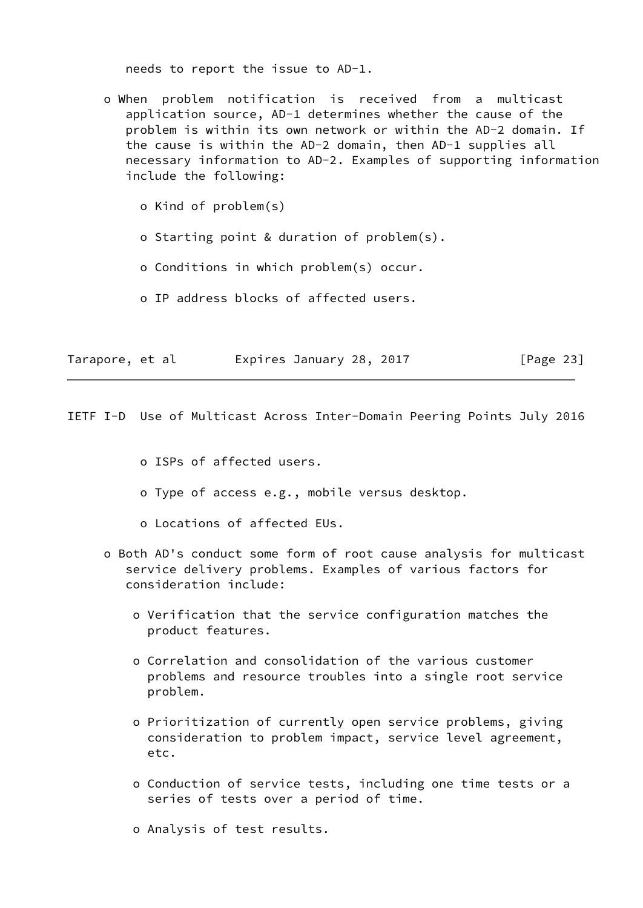needs to report the issue to AD-1.

 o When problem notification is received from a multicast application source, AD-1 determines whether the cause of the problem is within its own network or within the AD-2 domain. If the cause is within the AD-2 domain, then AD-1 supplies all necessary information to AD-2. Examples of supporting information include the following:

o Kind of problem(s)

o Starting point & duration of problem(s).

o Conditions in which problem(s) occur.

o IP address blocks of affected users.

| Tarapore, et al |  | Expires January 28, 2017 |  |  | [Page 23] |
|-----------------|--|--------------------------|--|--|-----------|
|-----------------|--|--------------------------|--|--|-----------|

<span id="page-24-0"></span>IETF I-D Use of Multicast Across Inter-Domain Peering Points July 2016

o ISPs of affected users.

- o Type of access e.g., mobile versus desktop.
- o Locations of affected EUs.
- o Both AD's conduct some form of root cause analysis for multicast service delivery problems. Examples of various factors for consideration include:
	- o Verification that the service configuration matches the product features.
	- o Correlation and consolidation of the various customer problems and resource troubles into a single root service problem.
	- o Prioritization of currently open service problems, giving consideration to problem impact, service level agreement, etc.
	- o Conduction of service tests, including one time tests or a series of tests over a period of time.
	- o Analysis of test results.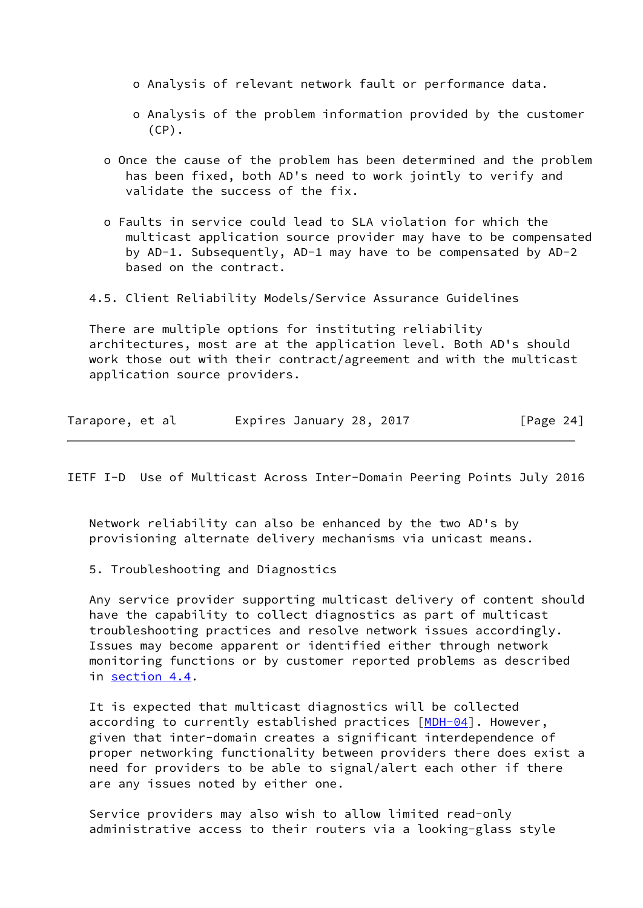- o Analysis of relevant network fault or performance data.
- o Analysis of the problem information provided by the customer  $(CP)$ .
- o Once the cause of the problem has been determined and the problem has been fixed, both AD's need to work jointly to verify and validate the success of the fix.
- o Faults in service could lead to SLA violation for which the multicast application source provider may have to be compensated by AD-1. Subsequently, AD-1 may have to be compensated by AD-2 based on the contract.

4.5. Client Reliability Models/Service Assurance Guidelines

 There are multiple options for instituting reliability architectures, most are at the application level. Both AD's should work those out with their contract/agreement and with the multicast application source providers.

| Tarapore, et al |  |  | Expires January 28, 2017 |  |  |  | [Page 24] |  |
|-----------------|--|--|--------------------------|--|--|--|-----------|--|
|-----------------|--|--|--------------------------|--|--|--|-----------|--|

<span id="page-25-0"></span>IETF I-D Use of Multicast Across Inter-Domain Peering Points July 2016

 Network reliability can also be enhanced by the two AD's by provisioning alternate delivery mechanisms via unicast means.

5. Troubleshooting and Diagnostics

 Any service provider supporting multicast delivery of content should have the capability to collect diagnostics as part of multicast troubleshooting practices and resolve network issues accordingly. Issues may become apparent or identified either through network monitoring functions or by customer reported problems as described in section 4.4.

 It is expected that multicast diagnostics will be collected according to currently established practices  $[MDH-04]$  $[MDH-04]$ . However, given that inter-domain creates a significant interdependence of proper networking functionality between providers there does exist a need for providers to be able to signal/alert each other if there are any issues noted by either one.

 Service providers may also wish to allow limited read-only administrative access to their routers via a looking-glass style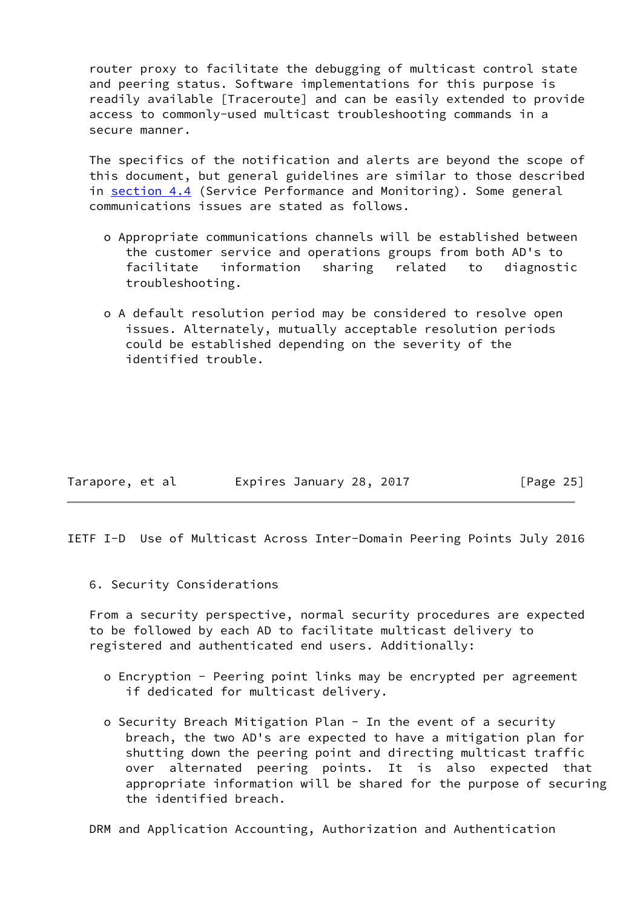router proxy to facilitate the debugging of multicast control state and peering status. Software implementations for this purpose is readily available [Traceroute] and can be easily extended to provide access to commonly-used multicast troubleshooting commands in a secure manner.

 The specifics of the notification and alerts are beyond the scope of this document, but general guidelines are similar to those described in section 4.4 (Service Performance and Monitoring). Some general communications issues are stated as follows.

- o Appropriate communications channels will be established between the customer service and operations groups from both AD's to facilitate information sharing related to diagnostic troubleshooting.
- o A default resolution period may be considered to resolve open issues. Alternately, mutually acceptable resolution periods could be established depending on the severity of the identified trouble.

| Tarapore, et al |  | Expires January 28, 2017 |  | [Page 25] |
|-----------------|--|--------------------------|--|-----------|
|-----------------|--|--------------------------|--|-----------|

<span id="page-26-0"></span>IETF I-D Use of Multicast Across Inter-Domain Peering Points July 2016

6. Security Considerations

 From a security perspective, normal security procedures are expected to be followed by each AD to facilitate multicast delivery to registered and authenticated end users. Additionally:

- o Encryption Peering point links may be encrypted per agreement if dedicated for multicast delivery.
- o Security Breach Mitigation Plan In the event of a security breach, the two AD's are expected to have a mitigation plan for shutting down the peering point and directing multicast traffic over alternated peering points. It is also expected that appropriate information will be shared for the purpose of securing the identified breach.

DRM and Application Accounting, Authorization and Authentication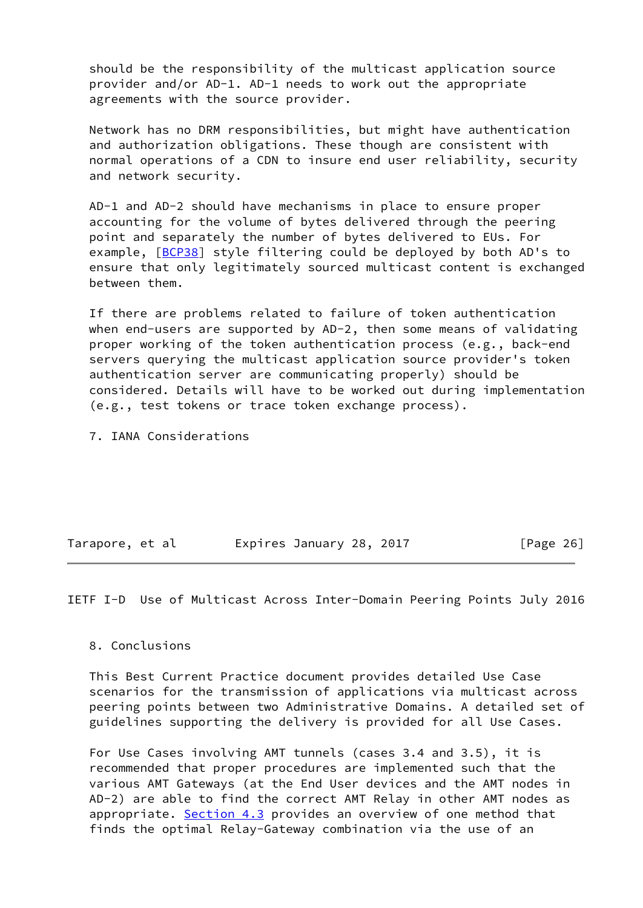should be the responsibility of the multicast application source provider and/or AD-1. AD-1 needs to work out the appropriate agreements with the source provider.

 Network has no DRM responsibilities, but might have authentication and authorization obligations. These though are consistent with normal operations of a CDN to insure end user reliability, security and network security.

 AD-1 and AD-2 should have mechanisms in place to ensure proper accounting for the volume of bytes delivered through the peering point and separately the number of bytes delivered to EUs. For example, [\[BCP38\]](#page-28-1) style filtering could be deployed by both AD's to ensure that only legitimately sourced multicast content is exchanged between them.

 If there are problems related to failure of token authentication when end-users are supported by AD-2, then some means of validating proper working of the token authentication process (e.g., back-end servers querying the multicast application source provider's token authentication server are communicating properly) should be considered. Details will have to be worked out during implementation (e.g., test tokens or trace token exchange process).

7. IANA Considerations

| Tarapore, et al |  | Expires January 28, 2017 |  | [Page 26] |  |
|-----------------|--|--------------------------|--|-----------|--|
|                 |  |                          |  |           |  |

<span id="page-27-0"></span>IETF I-D Use of Multicast Across Inter-Domain Peering Points July 2016

## 8. Conclusions

 This Best Current Practice document provides detailed Use Case scenarios for the transmission of applications via multicast across peering points between two Administrative Domains. A detailed set of guidelines supporting the delivery is provided for all Use Cases.

 For Use Cases involving AMT tunnels (cases 3.4 and 3.5), it is recommended that proper procedures are implemented such that the various AMT Gateways (at the End User devices and the AMT nodes in AD-2) are able to find the correct AMT Relay in other AMT nodes as appropriate. Section 4.3 provides an overview of one method that finds the optimal Relay-Gateway combination via the use of an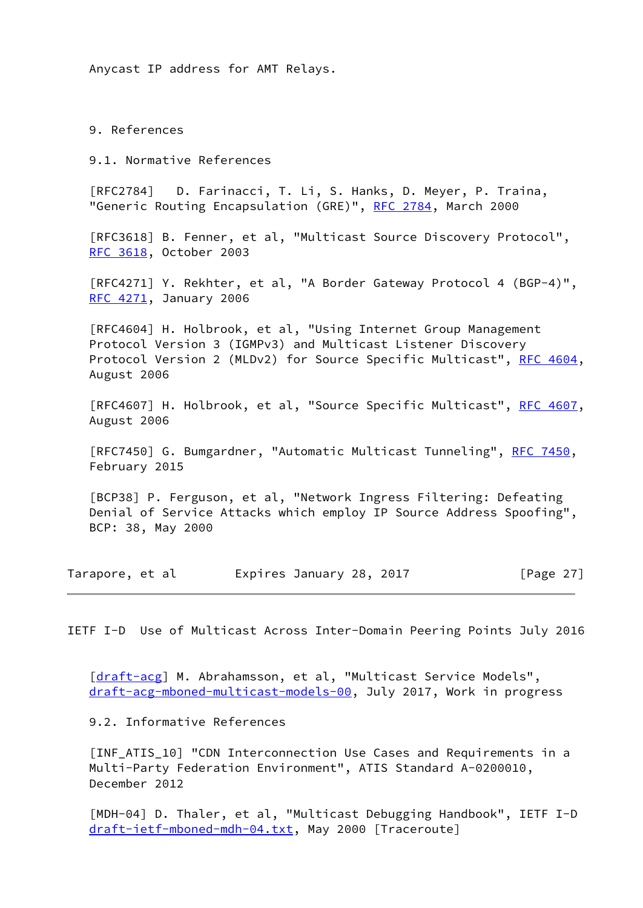Anycast IP address for AMT Relays.

9. References

9.1. Normative References

 [RFC2784] D. Farinacci, T. Li, S. Hanks, D. Meyer, P. Traina, "Generic Routing Encapsulation (GRE)", [RFC 2784,](https://datatracker.ietf.org/doc/pdf/rfc2784) March 2000

 [RFC3618] B. Fenner, et al, "Multicast Source Discovery Protocol", [RFC 3618](https://datatracker.ietf.org/doc/pdf/rfc3618), October 2003

 [RFC4271] Y. Rekhter, et al, "A Border Gateway Protocol 4 (BGP-4)", [RFC 4271](https://datatracker.ietf.org/doc/pdf/rfc4271), January 2006

 [RFC4604] H. Holbrook, et al, "Using Internet Group Management Protocol Version 3 (IGMPv3) and Multicast Listener Discovery Protocol Version 2 (MLDv2) for Source Specific Multicast", [RFC 4604,](https://datatracker.ietf.org/doc/pdf/rfc4604) August 2006

[RFC4607] H. Holbrook, et al, "Source Specific Multicast", [RFC 4607,](https://datatracker.ietf.org/doc/pdf/rfc4607) August 2006

[RFC7450] G. Bumgardner, "Automatic Multicast Tunneling", [RFC 7450](https://datatracker.ietf.org/doc/pdf/rfc7450), February 2015

<span id="page-28-1"></span> [BCP38] P. Ferguson, et al, "Network Ingress Filtering: Defeating Denial of Service Attacks which employ IP Source Address Spoofing", BCP: 38, May 2000

Tarapore, et al expires January 28, 2017 [Page 27]

<span id="page-28-0"></span>IETF I-D Use of Multicast Across Inter-Domain Peering Points July 2016

[\[draft-acg](https://datatracker.ietf.org/doc/pdf/draft-acg)] M. Abrahamsson, et al, "Multicast Service Models", [draft-acg-mboned-multicast-models-00](https://datatracker.ietf.org/doc/pdf/draft-acg-mboned-multicast-models-00), July 2017, Work in progress

9.2. Informative References

<span id="page-28-2"></span>[INF ATIS 10] "CDN Interconnection Use Cases and Requirements in a Multi-Party Federation Environment", ATIS Standard A-0200010, December 2012

<span id="page-28-3"></span> [MDH-04] D. Thaler, et al, "Multicast Debugging Handbook", IETF I-D [draft-ietf-mboned-mdh-04.txt](https://datatracker.ietf.org/doc/pdf/draft-ietf-mboned-mdh-04.txt), May 2000 [Traceroute]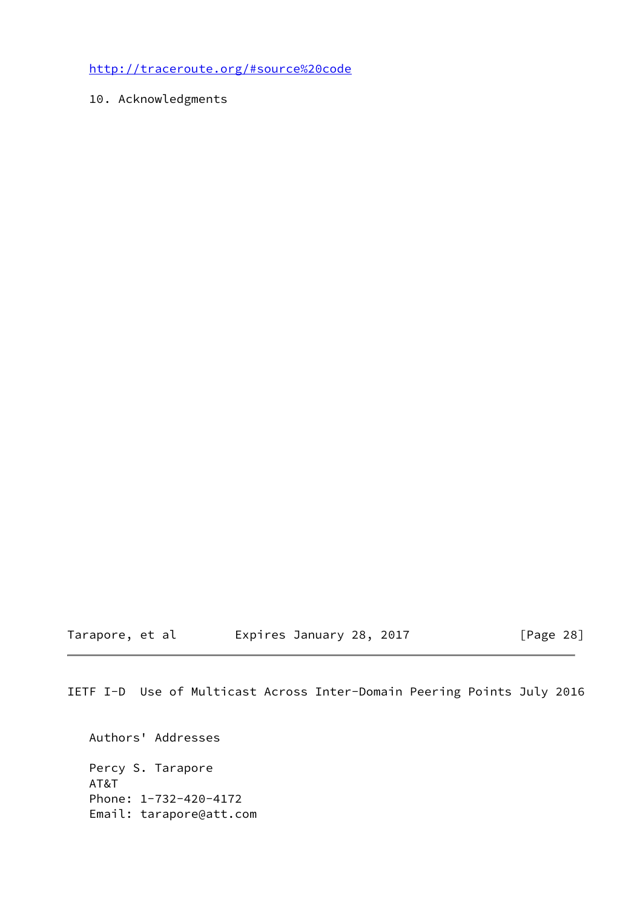<http://traceroute.org/#source%20code>

10. Acknowledgments

Tarapore, et al expires January 28, 2017 [Page 28]

IETF I-D Use of Multicast Across Inter-Domain Peering Points July 2016

 Authors' Addresses Percy S. Tarapore AT&T Phone: 1-732-420-4172 Email: tarapore@att.com